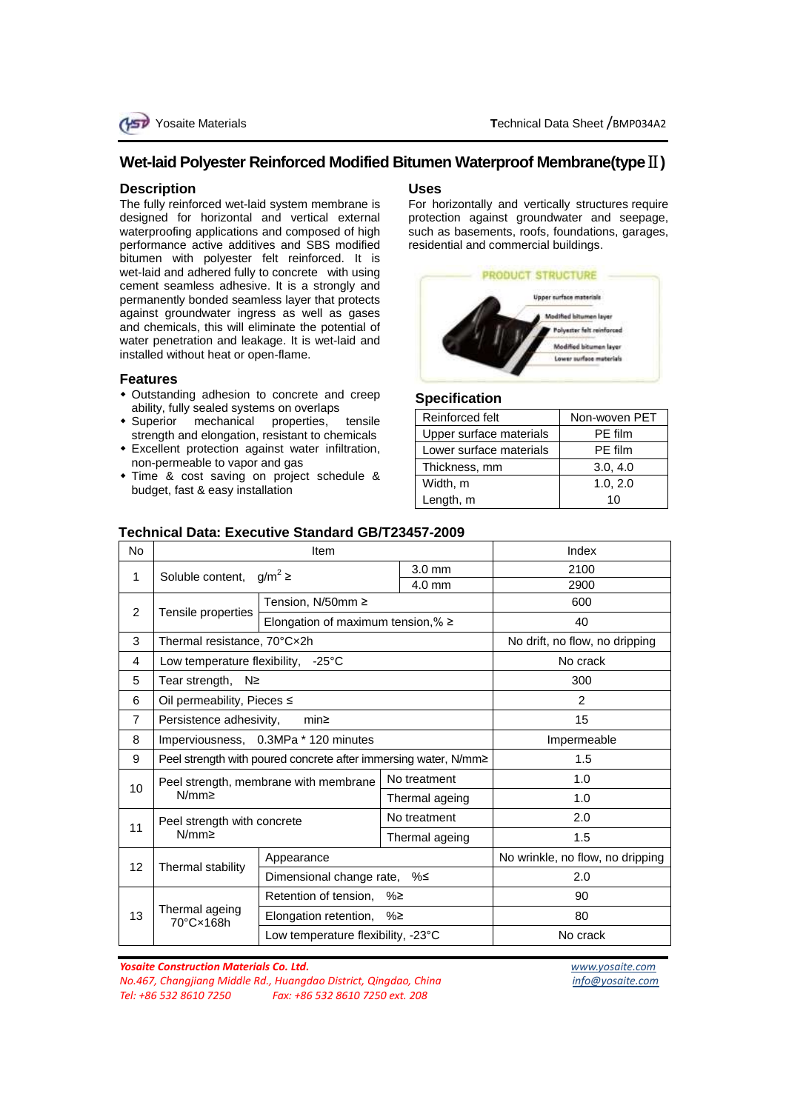# **Wet-laid Polyester Reinforced Modified Bitumen Waterproof Membrane(type**Ⅱ**)**

#### **Description**

The fully reinforced wet-laid system membrane is designed for horizontal and vertical external waterproofing applications and composed of high performance active additives and SBS modified bitumen with polyester felt reinforced. It is wet-laid and adhered fully to concrete with using cement seamless adhesive. It is a strongly and permanently bonded seamless layer that protects against groundwater ingress as well as gases and chemicals, this will eliminate the potential of water penetration and leakage. It is wet-laid and installed without heat or open-flame.

#### **Features**

- Outstanding adhesion to concrete and creep ability, fully sealed systems on overlaps
- Superior mechanical properties, tensile strength and elongation, resistant to chemicals
- Excellent protection against water infiltration, non-permeable to vapor and gas
- Time & cost saving on project schedule & budget, fast & easy installation

### **Uses**

For horizontally and vertically structures require protection against groundwater and seepage, such as basements, roofs, foundations, garages, residential and commercial buildings.



# **Specification**

| Reinforced felt         | Non-woven PET |
|-------------------------|---------------|
| Upper surface materials | PE film       |
| Lower surface materials | PE film       |
| Thickness, mm           | 3.0, 4.0      |
| Width, m                | 1.0, 2.0      |
| Length, m               | 10            |

# **Technical Data: Executive Standard GB/T23457-2009**

| No             | Item                                                            |                                        | Index |                  |                                  |
|----------------|-----------------------------------------------------------------|----------------------------------------|-------|------------------|----------------------------------|
| $\mathbf 1$    | $g/m^2 \ge$<br>Soluble content,                                 |                                        |       | $3.0 \text{ mm}$ | 2100                             |
|                |                                                                 |                                        |       | $4.0 \text{ mm}$ | 2900                             |
| 2              | Tensile properties                                              | Tension, N/50mm ≥                      |       |                  | 600                              |
|                |                                                                 | Elongation of maximum tension, % $\ge$ |       |                  | 40                               |
| 3              | Thermal resistance, 70°Cx2h                                     |                                        |       |                  | No drift, no flow, no dripping   |
| 4              | $-25^{\circ}$ C<br>Low temperature flexibility,                 |                                        |       | No crack         |                                  |
| 5              | Tear strength, $N \geq$                                         |                                        |       | 300              |                                  |
| 6              | Oil permeability, Pieces ≤                                      |                                        |       | $\mathcal{P}$    |                                  |
| $\overline{7}$ | Persistence adhesivity,<br>min <sub>2</sub>                     |                                        |       | 15               |                                  |
| 8              | Imperviousness, 0.3MPa * 120 minutes                            |                                        |       | Impermeable      |                                  |
| 9              | Peel strength with poured concrete after immersing water, N/mm≥ |                                        |       | 1.5              |                                  |
| 10             | Peel strength, membrane with membrane<br>$N/mm \geq$            |                                        |       | No treatment     | 1.0                              |
|                |                                                                 |                                        |       | Thermal ageing   | 1.0                              |
| 11             | Peel strength with concrete<br>$N/mm \geq$                      |                                        |       | No treatment     | 2.0                              |
|                |                                                                 |                                        |       | Thermal ageing   | 1.5                              |
| 12             | Thermal stability                                               | Appearance                             |       |                  | No wrinkle, no flow, no dripping |
|                |                                                                 | Dimensional change rate, %≤            |       |                  | 2.0                              |
| 13             | Thermal ageing<br>70°C×168h                                     | Retention of tension, %≥               |       |                  | 90                               |
|                |                                                                 | Elongation retention, $% \geq$         |       | 80               |                                  |
|                |                                                                 | Low temperature flexibility, -23°C     |       |                  | No crack                         |

*Yosaite Construction Materials Co. Ltd. [www.yosaite.com](http://www.yosaite.com/) No.467, Changjiang Middle Rd., Huangdao District, Qingdao, China info@yosaite.com Tel: +86 532 8610 7250 Fax: +86 532 8610 7250 ext. 208*